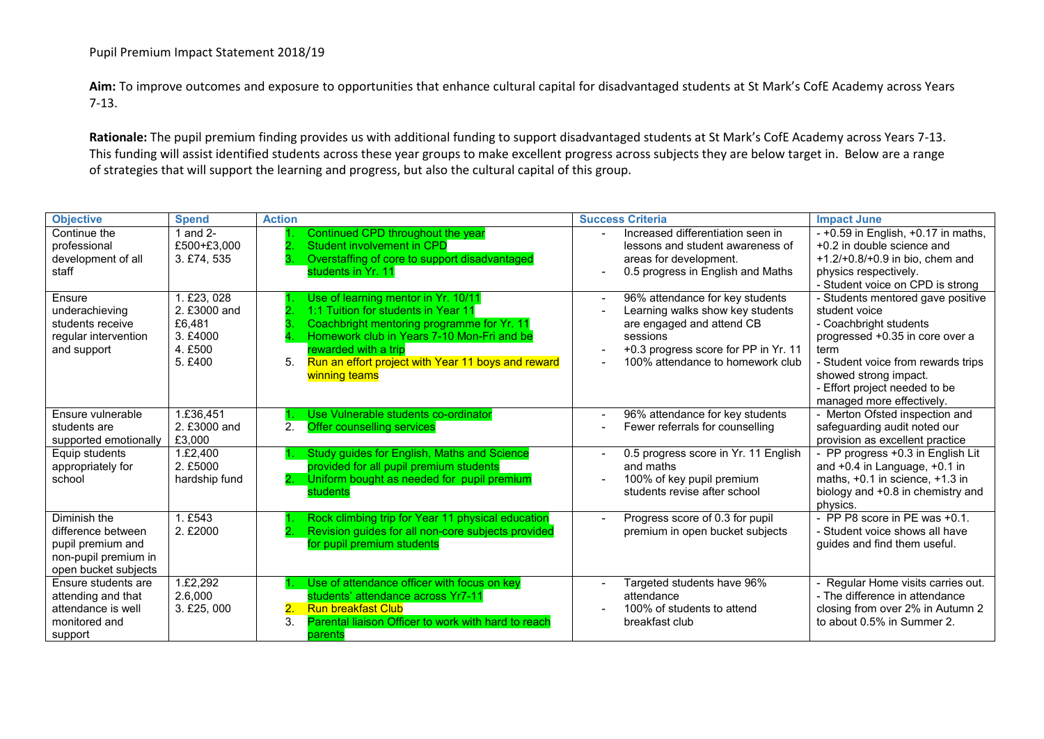## Pupil Premium Impact Statement 2018/19

**Aim:** To improve outcomes and exposure to opportunities that enhance cultural capital for disadvantaged students at St Mark's CofE Academy across Years 7-13.

**Rationale:** The pupil premium finding provides us with additional funding to support disadvantaged students at St Mark's CofE Academy across Years 7-13. This funding will assist identified students across these year groups to make excellent progress across subjects they are below target in. Below are a range of strategies that will support the learning and progress, but also the cultural capital of this group.

| <b>Objective</b>                                                                                        | <b>Spend</b>                                                            | <b>Action</b>                                                                                                                                                                                                                                                               | <b>Success Criteria</b>                                                                                                                                                                  | <b>Impact June</b>                                                                                                                                                                                                                                   |
|---------------------------------------------------------------------------------------------------------|-------------------------------------------------------------------------|-----------------------------------------------------------------------------------------------------------------------------------------------------------------------------------------------------------------------------------------------------------------------------|------------------------------------------------------------------------------------------------------------------------------------------------------------------------------------------|------------------------------------------------------------------------------------------------------------------------------------------------------------------------------------------------------------------------------------------------------|
| Continue the<br>professional<br>development of all<br>staff                                             | 1 and 2-<br>£500+£3,000<br>3. £74. 535                                  | Continued CPD throughout the year<br>Student involvement in CPD<br>Overstaffing of core to support disadvantaged<br>students in Yr. 11                                                                                                                                      | Increased differentiation seen in<br>lessons and student awareness of<br>areas for development.<br>0.5 progress in English and Maths                                                     | $-$ +0.59 in English, +0.17 in maths,<br>+0.2 in double science and<br>$+1.2/+0.8/+0.9$ in bio, chem and<br>physics respectively.<br>- Student voice on CPD is strong                                                                                |
| Ensure<br>underachieving<br>students receive<br>regular intervention<br>and support                     | 1. £23, 028<br>2. £3000 and<br>£6,481<br>3. £4000<br>4. £500<br>5. £400 | Use of learning mentor in Yr. 10/11<br>1:1 Tuition for students in Year 11<br>Coachbright mentoring programme for Yr. 11<br>Homework club in Years 7-10 Mon-Fri and be<br>rewarded with a trip<br>Run an effort project with Year 11 boys and reward<br>5.<br>winning teams | 96% attendance for key students<br>Learning walks show key students<br>are engaged and attend CB<br>sessions<br>+0.3 progress score for PP in Yr. 11<br>100% attendance to homework club | - Students mentored gave positive<br>student voice<br>- Coachbright students<br>progressed +0.35 in core over a<br>term<br>- Student voice from rewards trips<br>showed strong impact.<br>- Effort project needed to be<br>managed more effectively. |
| Ensure vulnerable<br>students are<br>supported emotionally                                              | 1.£36,451<br>2. £3000 and<br>£3,000                                     | Use Vulnerable students co-ordinator<br>2.<br><b>Offer counselling services</b>                                                                                                                                                                                             | 96% attendance for key students<br>Fewer referrals for counselling                                                                                                                       | - Merton Ofsted inspection and<br>safeguarding audit noted our<br>provision as excellent practice                                                                                                                                                    |
| Equip students<br>appropriately for<br>school                                                           | 1.£2,400<br>2. £5000<br>hardship fund                                   | Study guides for English, Maths and Science<br>provided for all pupil premium students<br>Uniform bought as needed for pupil premium<br>students                                                                                                                            | 0.5 progress score in Yr. 11 English<br>and maths<br>100% of key pupil premium<br>students revise after school                                                                           | - PP progress +0.3 in English Lit<br>and $+0.4$ in Language, $+0.1$ in<br>maths, $+0.1$ in science, $+1.3$ in<br>biology and +0.8 in chemistry and<br>physics.                                                                                       |
| Diminish the<br>difference between<br>pupil premium and<br>non-pupil premium in<br>open bucket subjects | 1. £543<br>2. £2000                                                     | Rock climbing trip for Year 11 physical education<br>Revision guides for all non-core subjects provided<br>for pupil premium students                                                                                                                                       | Progress score of 0.3 for pupil<br>premium in open bucket subjects                                                                                                                       | - PP P8 score in PE was +0.1.<br>- Student voice shows all have<br>quides and find them useful.                                                                                                                                                      |
| Ensure students are<br>attending and that<br>attendance is well<br>monitored and<br>support             | 1.£2,292<br>2.6,000<br>3. £25, 000                                      | Use of attendance officer with focus on key<br>students' attendance across Yr7-11<br><b>Run breakfast Club</b><br>$\overline{\mathbf{2}}$ .<br>Parental liaison Officer to work with hard to reach<br>3.<br>parents                                                         | Targeted students have 96%<br>attendance<br>100% of students to attend<br>breakfast club                                                                                                 | - Regular Home visits carries out.<br>- The difference in attendance<br>closing from over 2% in Autumn 2<br>to about 0.5% in Summer 2.                                                                                                               |